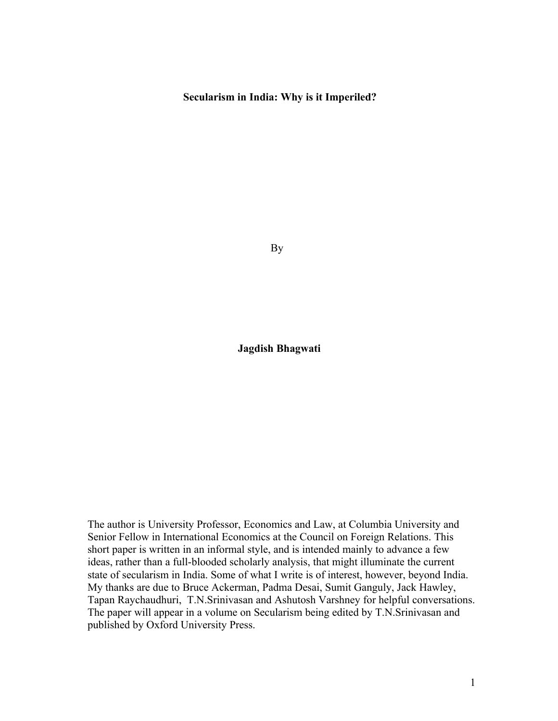## **Secularism in India: Why is it Imperiled?**

By

**Jagdish Bhagwati**

The author is University Professor, Economics and Law, at Columbia University and Senior Fellow in International Economics at the Council on Foreign Relations. This short paper is written in an informal style, and is intended mainly to advance a few ideas, rather than a full-blooded scholarly analysis, that might illuminate the current state of secularism in India. Some of what I write is of interest, however, beyond India. My thanks are due to Bruce Ackerman, Padma Desai, Sumit Ganguly, Jack Hawley, Tapan Raychaudhuri, T.N.Srinivasan and Ashutosh Varshney for helpful conversations. The paper will appear in a volume on Secularism being edited by T.N.Srinivasan and published by Oxford University Press.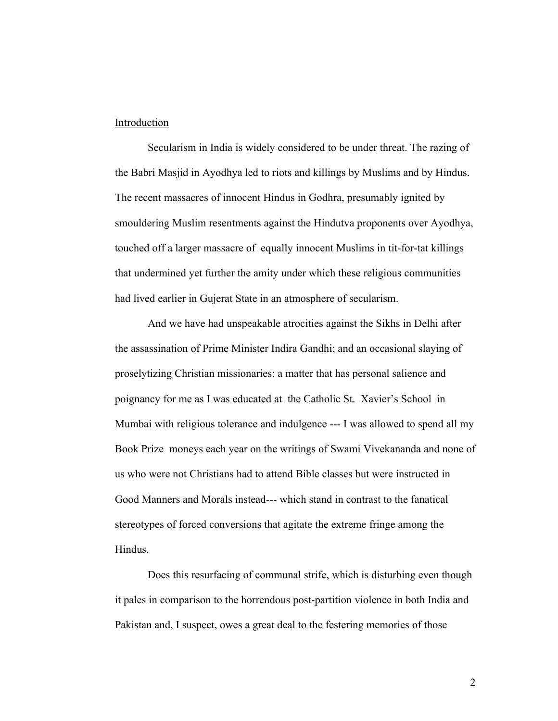## Introduction

Secularism in India is widely considered to be under threat. The razing of the Babri Masjid in Ayodhya led to riots and killings by Muslims and by Hindus. The recent massacres of innocent Hindus in Godhra, presumably ignited by smouldering Muslim resentments against the Hindutva proponents over Ayodhya, touched off a larger massacre of equally innocent Muslims in tit-for-tat killings that undermined yet further the amity under which these religious communities had lived earlier in Gujerat State in an atmosphere of secularism.

And we have had unspeakable atrocities against the Sikhs in Delhi after the assassination of Prime Minister Indira Gandhi; and an occasional slaying of proselytizing Christian missionaries: a matter that has personal salience and poignancy for me as I was educated at the Catholic St. Xavier's School in Mumbai with religious tolerance and indulgence --- I was allowed to spend all my Book Prize moneys each year on the writings of Swami Vivekananda and none of us who were not Christians had to attend Bible classes but were instructed in Good Manners and Morals instead--- which stand in contrast to the fanatical stereotypes of forced conversions that agitate the extreme fringe among the Hindus.

Does this resurfacing of communal strife, which is disturbing even though it pales in comparison to the horrendous post-partition violence in both India and Pakistan and, I suspect, owes a great deal to the festering memories of those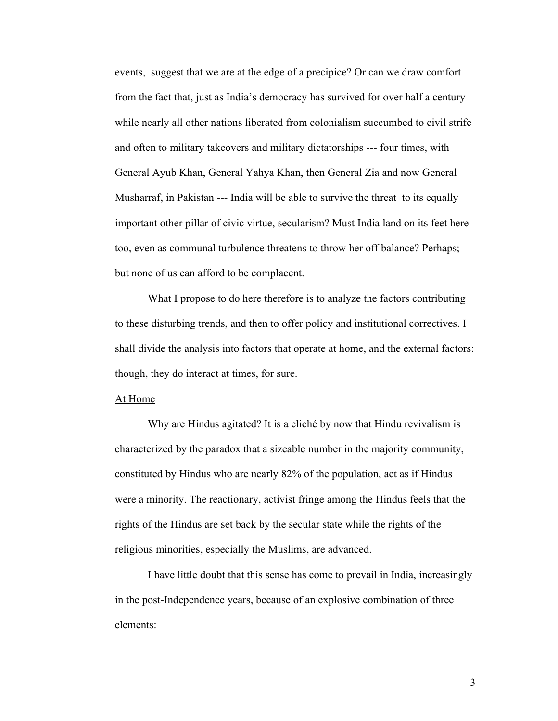events, suggest that we are at the edge of a precipice? Or can we draw comfort from the fact that, just as India's democracy has survived for over half a century while nearly all other nations liberated from colonialism succumbed to civil strife and often to military takeovers and military dictatorships --- four times, with General Ayub Khan, General Yahya Khan, then General Zia and now General Musharraf, in Pakistan --- India will be able to survive the threat to its equally important other pillar of civic virtue, secularism? Must India land on its feet here too, even as communal turbulence threatens to throw her off balance? Perhaps; but none of us can afford to be complacent.

What I propose to do here therefore is to analyze the factors contributing to these disturbing trends, and then to offer policy and institutional correctives. I shall divide the analysis into factors that operate at home, and the external factors: though, they do interact at times, for sure.

## At Home

Why are Hindus agitated? It is a cliché by now that Hindu revivalism is characterized by the paradox that a sizeable number in the majority community, constituted by Hindus who are nearly 82% of the population, act as if Hindus were a minority. The reactionary, activist fringe among the Hindus feels that the rights of the Hindus are set back by the secular state while the rights of the religious minorities, especially the Muslims, are advanced.

I have little doubt that this sense has come to prevail in India, increasingly in the post-Independence years, because of an explosive combination of three elements: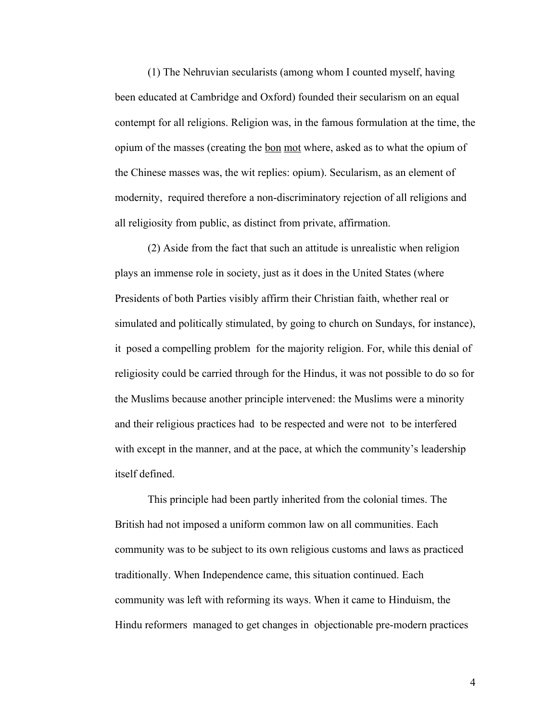(1) The Nehruvian secularists (among whom I counted myself, having been educated at Cambridge and Oxford) founded their secularism on an equal contempt for all religions. Religion was, in the famous formulation at the time, the opium of the masses (creating the bon mot where, asked as to what the opium of the Chinese masses was, the wit replies: opium). Secularism, as an element of modernity, required therefore a non-discriminatory rejection of all religions and all religiosity from public, as distinct from private, affirmation.

(2) Aside from the fact that such an attitude is unrealistic when religion plays an immense role in society, just as it does in the United States (where Presidents of both Parties visibly affirm their Christian faith, whether real or simulated and politically stimulated, by going to church on Sundays, for instance), it posed a compelling problem for the majority religion. For, while this denial of religiosity could be carried through for the Hindus, it was not possible to do so for the Muslims because another principle intervened: the Muslims were a minority and their religious practices had to be respected and were not to be interfered with except in the manner, and at the pace, at which the community's leadership itself defined.

This principle had been partly inherited from the colonial times. The British had not imposed a uniform common law on all communities. Each community was to be subject to its own religious customs and laws as practiced traditionally. When Independence came, this situation continued. Each community was left with reforming its ways. When it came to Hinduism, the Hindu reformers managed to get changes in objectionable pre-modern practices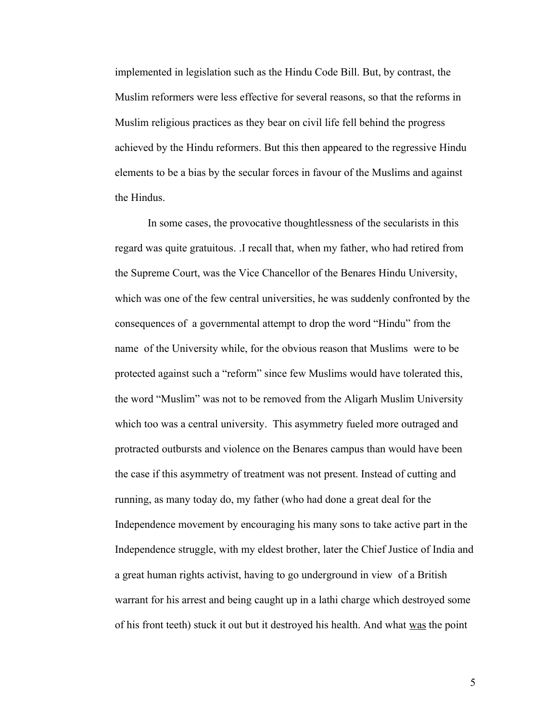implemented in legislation such as the Hindu Code Bill. But, by contrast, the Muslim reformers were less effective for several reasons, so that the reforms in Muslim religious practices as they bear on civil life fell behind the progress achieved by the Hindu reformers. But this then appeared to the regressive Hindu elements to be a bias by the secular forces in favour of the Muslims and against the Hindus.

In some cases, the provocative thoughtlessness of the secularists in this regard was quite gratuitous. .I recall that, when my father, who had retired from the Supreme Court, was the Vice Chancellor of the Benares Hindu University, which was one of the few central universities, he was suddenly confronted by the consequences of a governmental attempt to drop the word "Hindu" from the name of the University while, for the obvious reason that Muslims were to be protected against such a "reform" since few Muslims would have tolerated this, the word "Muslim" was not to be removed from the Aligarh Muslim University which too was a central university. This asymmetry fueled more outraged and protracted outbursts and violence on the Benares campus than would have been the case if this asymmetry of treatment was not present. Instead of cutting and running, as many today do, my father (who had done a great deal for the Independence movement by encouraging his many sons to take active part in the Independence struggle, with my eldest brother, later the Chief Justice of India and a great human rights activist, having to go underground in view of a British warrant for his arrest and being caught up in a lathi charge which destroyed some of his front teeth) stuck it out but it destroyed his health. And what was the point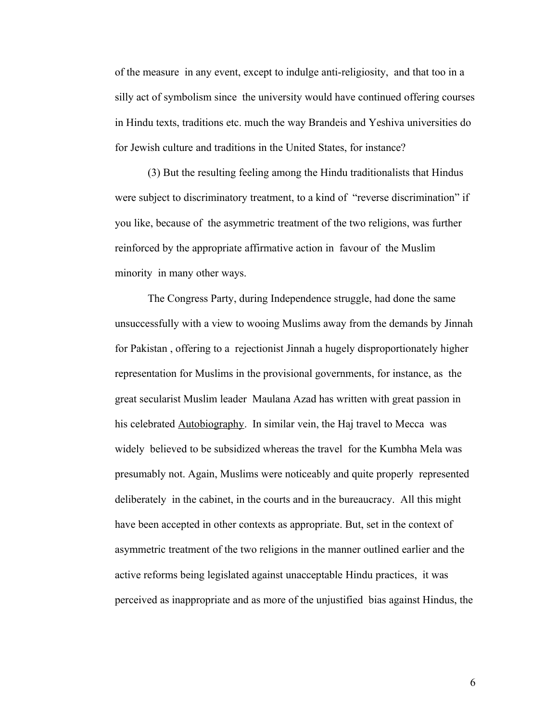of the measure in any event, except to indulge anti-religiosity, and that too in a silly act of symbolism since the university would have continued offering courses in Hindu texts, traditions etc. much the way Brandeis and Yeshiva universities do for Jewish culture and traditions in the United States, for instance?

(3) But the resulting feeling among the Hindu traditionalists that Hindus were subject to discriminatory treatment, to a kind of "reverse discrimination" if you like, because of the asymmetric treatment of the two religions, was further reinforced by the appropriate affirmative action in favour of the Muslim minority in many other ways.

The Congress Party, during Independence struggle, had done the same unsuccessfully with a view to wooing Muslims away from the demands by Jinnah for Pakistan , offering to a rejectionist Jinnah a hugely disproportionately higher representation for Muslims in the provisional governments, for instance, as the great secularist Muslim leader Maulana Azad has written with great passion in his celebrated **Autobiography**. In similar vein, the Haj travel to Mecca was widely believed to be subsidized whereas the travel for the Kumbha Mela was presumably not. Again, Muslims were noticeably and quite properly represented deliberately in the cabinet, in the courts and in the bureaucracy. All this might have been accepted in other contexts as appropriate. But, set in the context of asymmetric treatment of the two religions in the manner outlined earlier and the active reforms being legislated against unacceptable Hindu practices, it was perceived as inappropriate and as more of the unjustified bias against Hindus, the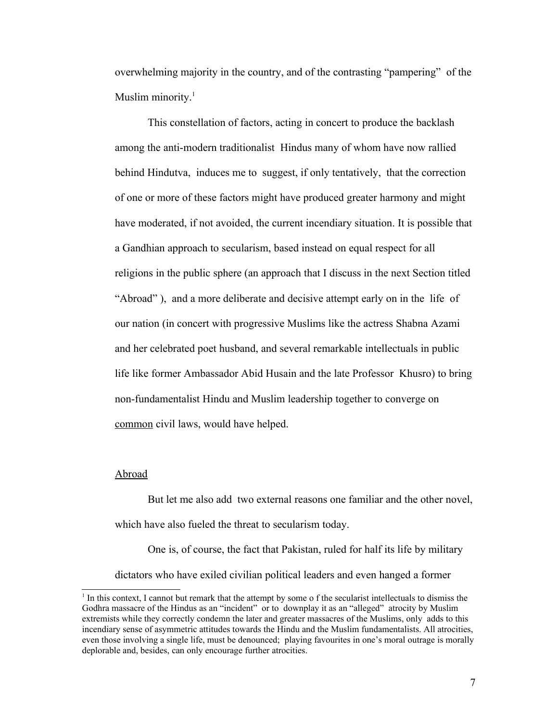overwhelming majority in the country, and of the contrasting "pampering" of the Muslim minority.<sup>[1](#page-6-0)</sup>

This constellation of factors, acting in concert to produce the backlash among the anti-modern traditionalist Hindus many of whom have now rallied behind Hindutva, induces me to suggest, if only tentatively, that the correction of one or more of these factors might have produced greater harmony and might have moderated, if not avoided, the current incendiary situation. It is possible that a Gandhian approach to secularism, based instead on equal respect for all religions in the public sphere (an approach that I discuss in the next Section titled "Abroad" ), and a more deliberate and decisive attempt early on in the life of our nation (in concert with progressive Muslims like the actress Shabna Azami and her celebrated poet husband, and several remarkable intellectuals in public life like former Ambassador Abid Husain and the late Professor Khusro) to bring non-fundamentalist Hindu and Muslim leadership together to converge on common civil laws, would have helped.

## Abroad

But let me also add two external reasons one familiar and the other novel, which have also fueled the threat to secularism today.

One is, of course, the fact that Pakistan, ruled for half its life by military dictators who have exiled civilian political leaders and even hanged a former

<span id="page-6-0"></span><sup>&</sup>lt;sup>1</sup> In this context, I cannot but remark that the attempt by some o f the secularist intellectuals to dismiss the Godhra massacre of the Hindus as an "incident" or to downplay it as an "alleged" atrocity by Muslim extremists while they correctly condemn the later and greater massacres of the Muslims, only adds to this incendiary sense of asymmetric attitudes towards the Hindu and the Muslim fundamentalists. All atrocities, even those involving a single life, must be denounced; playing favourites in one's moral outrage is morally deplorable and, besides, can only encourage further atrocities.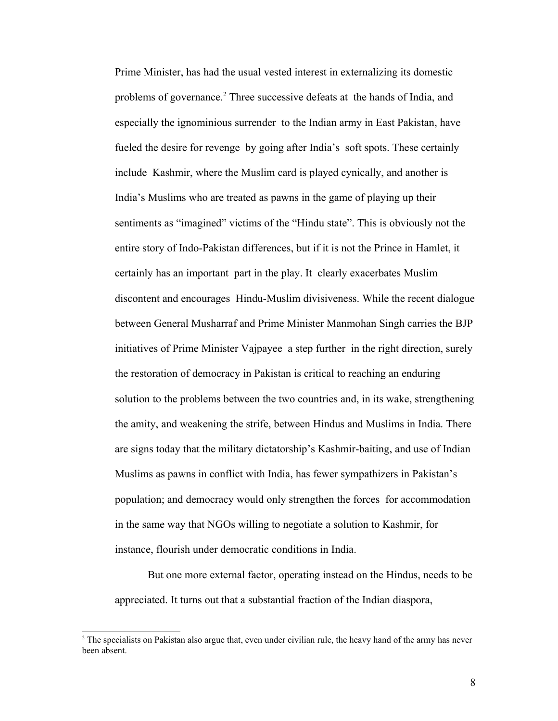Prime Minister, has had the usual vested interest in externalizing its domestic problems of governance.<sup>[2](#page-7-0)</sup> Three successive defeats at the hands of India, and especially the ignominious surrender to the Indian army in East Pakistan, have fueled the desire for revenge by going after India's soft spots. These certainly include Kashmir, where the Muslim card is played cynically, and another is India's Muslims who are treated as pawns in the game of playing up their sentiments as "imagined" victims of the "Hindu state". This is obviously not the entire story of Indo-Pakistan differences, but if it is not the Prince in Hamlet, it certainly has an important part in the play. It clearly exacerbates Muslim discontent and encourages Hindu-Muslim divisiveness. While the recent dialogue between General Musharraf and Prime Minister Manmohan Singh carries the BJP initiatives of Prime Minister Vajpayee a step further in the right direction, surely the restoration of democracy in Pakistan is critical to reaching an enduring solution to the problems between the two countries and, in its wake, strengthening the amity, and weakening the strife, between Hindus and Muslims in India. There are signs today that the military dictatorship's Kashmir-baiting, and use of Indian Muslims as pawns in conflict with India, has fewer sympathizers in Pakistan's population; and democracy would only strengthen the forces for accommodation in the same way that NGOs willing to negotiate a solution to Kashmir, for instance, flourish under democratic conditions in India.

But one more external factor, operating instead on the Hindus, needs to be appreciated. It turns out that a substantial fraction of the Indian diaspora,

<span id="page-7-0"></span><sup>&</sup>lt;sup>2</sup> The specialists on Pakistan also argue that, even under civilian rule, the heavy hand of the army has never been absent.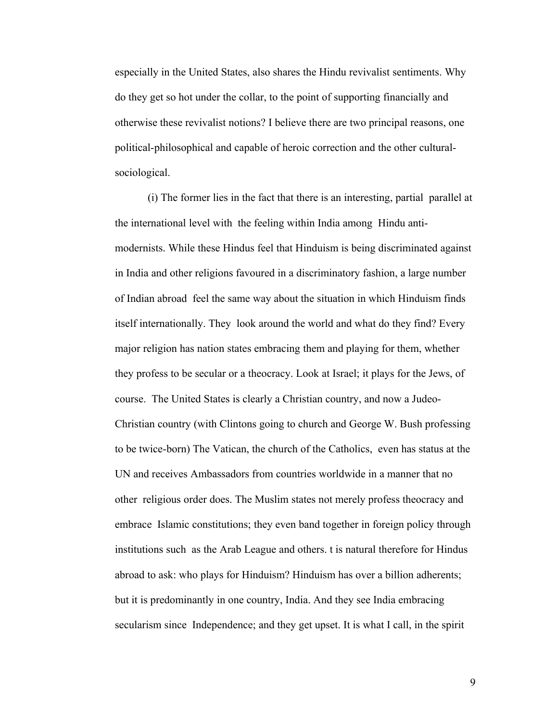especially in the United States, also shares the Hindu revivalist sentiments. Why do they get so hot under the collar, to the point of supporting financially and otherwise these revivalist notions? I believe there are two principal reasons, one political-philosophical and capable of heroic correction and the other culturalsociological.

(i) The former lies in the fact that there is an interesting, partial parallel at the international level with the feeling within India among Hindu antimodernists. While these Hindus feel that Hinduism is being discriminated against in India and other religions favoured in a discriminatory fashion, a large number of Indian abroad feel the same way about the situation in which Hinduism finds itself internationally. They look around the world and what do they find? Every major religion has nation states embracing them and playing for them, whether they profess to be secular or a theocracy. Look at Israel; it plays for the Jews, of course. The United States is clearly a Christian country, and now a Judeo-Christian country (with Clintons going to church and George W. Bush professing to be twice-born) The Vatican, the church of the Catholics, even has status at the UN and receives Ambassadors from countries worldwide in a manner that no other religious order does. The Muslim states not merely profess theocracy and embrace Islamic constitutions; they even band together in foreign policy through institutions such as the Arab League and others. t is natural therefore for Hindus abroad to ask: who plays for Hinduism? Hinduism has over a billion adherents; but it is predominantly in one country, India. And they see India embracing secularism since Independence; and they get upset. It is what I call, in the spirit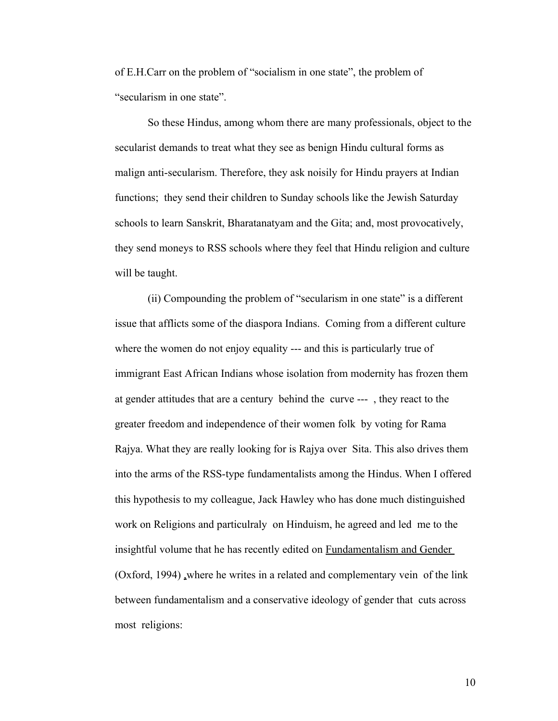of E.H.Carr on the problem of "socialism in one state", the problem of "secularism in one state".

So these Hindus, among whom there are many professionals, object to the secularist demands to treat what they see as benign Hindu cultural forms as malign anti-secularism. Therefore, they ask noisily for Hindu prayers at Indian functions; they send their children to Sunday schools like the Jewish Saturday schools to learn Sanskrit, Bharatanatyam and the Gita; and, most provocatively, they send moneys to RSS schools where they feel that Hindu religion and culture will be taught.

(ii) Compounding the problem of "secularism in one state" is a different issue that afflicts some of the diaspora Indians. Coming from a different culture where the women do not enjoy equality --- and this is particularly true of immigrant East African Indians whose isolation from modernity has frozen them at gender attitudes that are a century behind the curve --- , they react to the greater freedom and independence of their women folk by voting for Rama Rajya. What they are really looking for is Rajya over Sita. This also drives them into the arms of the RSS-type fundamentalists among the Hindus. When I offered this hypothesis to my colleague, Jack Hawley who has done much distinguished work on Religions and particulraly on Hinduism, he agreed and led me to the insightful volume that he has recently edited on **Fundamentalism and Gender** (Oxford, 1994) ,where he writes in a related and complementary vein of the link between fundamentalism and a conservative ideology of gender that cuts across most religions: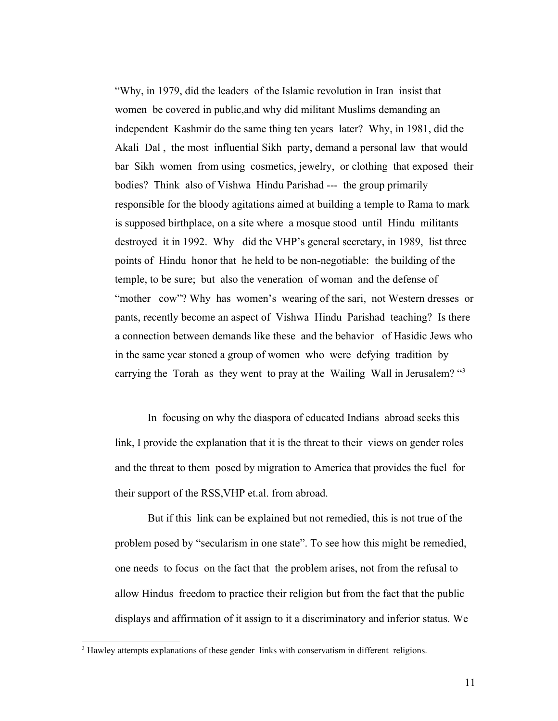"Why, in 1979, did the leaders of the Islamic revolution in Iran insist that women be covered in public,and why did militant Muslims demanding an independent Kashmir do the same thing ten years later? Why, in 1981, did the Akali Dal , the most influential Sikh party, demand a personal law that would bar Sikh women from using cosmetics, jewelry, or clothing that exposed their bodies? Think also of Vishwa Hindu Parishad --- the group primarily responsible for the bloody agitations aimed at building a temple to Rama to mark is supposed birthplace, on a site where a mosque stood until Hindu militants destroyed it in 1992. Why did the VHP's general secretary, in 1989, list three points of Hindu honor that he held to be non-negotiable: the building of the temple, to be sure; but also the veneration of woman and the defense of "mother cow"? Why has women's wearing of the sari, not Western dresses or pants, recently become an aspect of Vishwa Hindu Parishad teaching? Is there a connection between demands like these and the behavior of Hasidic Jews who in the same year stoned a group of women who were defying tradition by carrying the Torah as they went to pray at the Wailing Wall in Jerusalem? "[3](#page-10-0)

In focusing on why the diaspora of educated Indians abroad seeks this link, I provide the explanation that it is the threat to their views on gender roles and the threat to them posed by migration to America that provides the fuel for their support of the RSS,VHP et.al. from abroad.

But if this link can be explained but not remedied, this is not true of the problem posed by "secularism in one state". To see how this might be remedied, one needs to focus on the fact that the problem arises, not from the refusal to allow Hindus freedom to practice their religion but from the fact that the public displays and affirmation of it assign to it a discriminatory and inferior status. We

<span id="page-10-0"></span><sup>&</sup>lt;sup>3</sup> Hawley attempts explanations of these gender links with conservatism in different religions.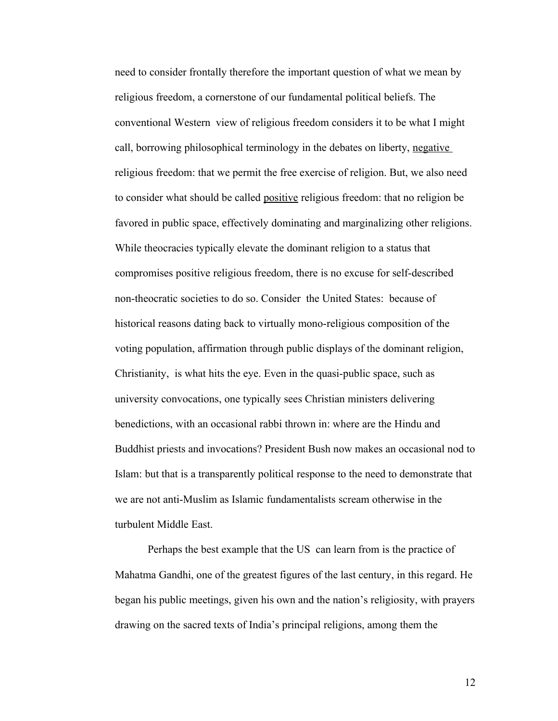need to consider frontally therefore the important question of what we mean by religious freedom, a cornerstone of our fundamental political beliefs. The conventional Western view of religious freedom considers it to be what I might call, borrowing philosophical terminology in the debates on liberty, negative religious freedom: that we permit the free exercise of religion. But, we also need to consider what should be called positive religious freedom: that no religion be favored in public space, effectively dominating and marginalizing other religions. While theocracies typically elevate the dominant religion to a status that compromises positive religious freedom, there is no excuse for self-described non-theocratic societies to do so. Consider the United States: because of historical reasons dating back to virtually mono-religious composition of the voting population, affirmation through public displays of the dominant religion, Christianity, is what hits the eye. Even in the quasi-public space, such as university convocations, one typically sees Christian ministers delivering benedictions, with an occasional rabbi thrown in: where are the Hindu and Buddhist priests and invocations? President Bush now makes an occasional nod to Islam: but that is a transparently political response to the need to demonstrate that we are not anti-Muslim as Islamic fundamentalists scream otherwise in the turbulent Middle East.

Perhaps the best example that the US can learn from is the practice of Mahatma Gandhi, one of the greatest figures of the last century, in this regard. He began his public meetings, given his own and the nation's religiosity, with prayers drawing on the sacred texts of India's principal religions, among them the